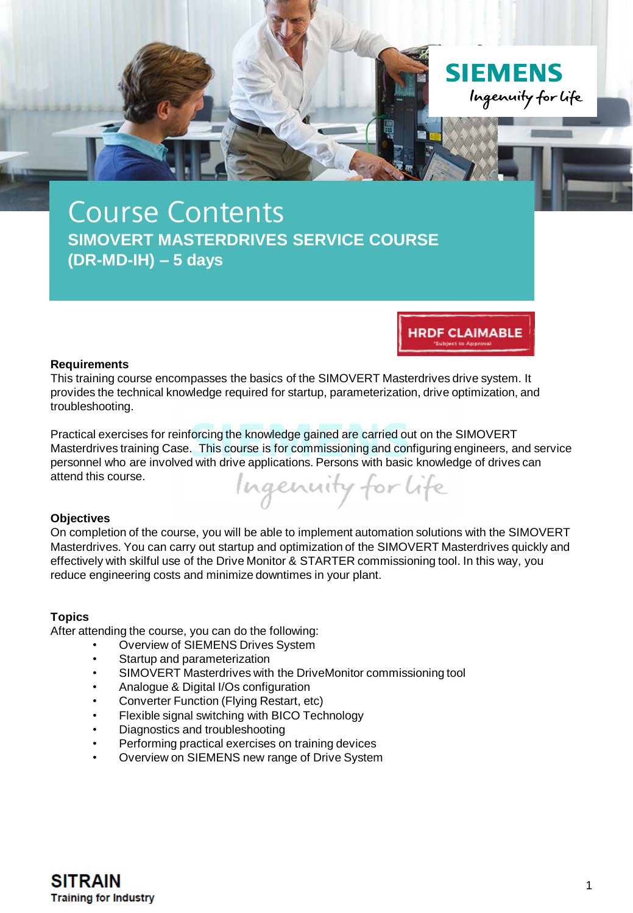

**HRDF CLAIMABLE** 

#### **Requirements**

This training course encompasses the basics of the SIMOVERT Masterdrives drive system. It provides the technical knowledge required for startup, parameterization, drive optimization, and troubleshooting.

Practical exercises for reinforcing the knowledge gained are carried out on the SIMOVERT Masterdrives training Case. This course is for commissioning and configuring engineers, and service personnel who are involved with drive applications. Persons with basic knowledge of drives can attend this course. Ingenuity for Life

# **Objectives**

On completion of the course, you will be able to implement automation solutions with the SIMOVERT Masterdrives. You can carry out startup and optimization of the SIMOVERT Masterdrives quickly and effectively with skilful use of the Drive Monitor & STARTER commissioning tool. In this way, you reduce engineering costs and minimize downtimes in your plant.

# **Topics**

After attending the course, you can do the following:

- Overview of SIEMENS Drives System
- Startup and parameterization
- SIMOVERT Masterdrives with the DriveMonitor commissioning tool
- Analogue & Digital I/Os configuration
- Converter Function (Flying Restart, etc)
- Flexible signal switching with BICO Technology
- Diagnostics and troubleshooting
- Performing practical exercises on training devices
- Overview on SIEMENS new range of Drive System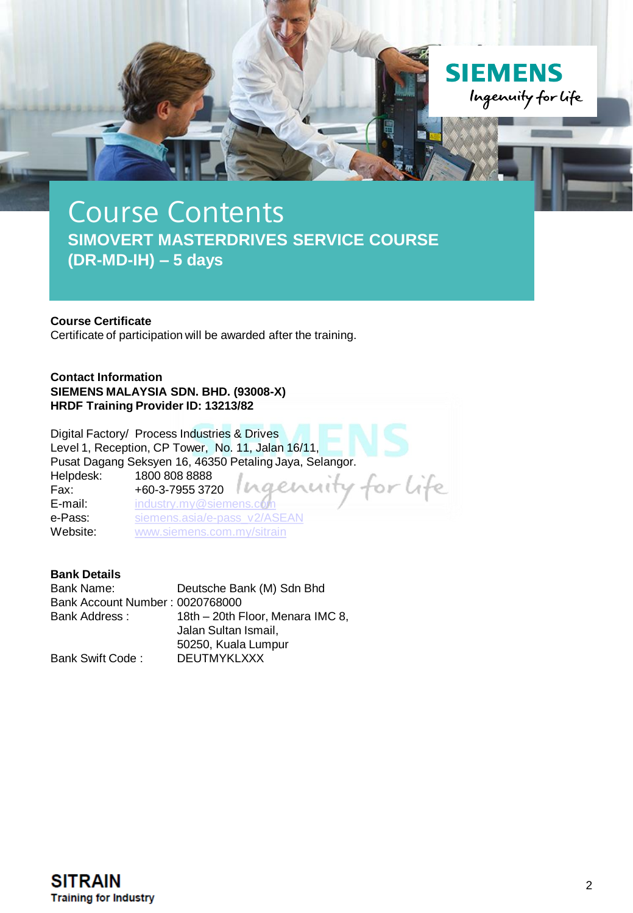

#### **Course Certificate**

Certificate of participation will be awarded after the training.

**Contact Information SIEMENS MALAYSIA SDN. BHD. (93008-X) HRDF Training Provider ID: 13213/82**

Digital Factory/ Process Industries & Drives Level 1, Reception, CP Tower, No. 11, Jalan 16/11, Pusat Dagang Seksyen 16, 46350 Petaling Jaya, Selangor. Helpdesk: 1800 808 8888<br>Fax: +60-3-7955 372 or life Fax: +60-3-7955 3720 **E-mail:** [industry.my@siemens.com](mailto:industry.my@siemens.com)<br> **e-Pass:** siemens.asia/e-pass v2 e-Pass: [siemens.asia/e-pass\\_v2/ASEAN](https://siemens.asia/e-pass_v2/ASEAN)<br>Website: www.siemens.com.mv/sitrain [www.siemens.com.my/sitrain](http://www.siemens.com.my/sitrain)

## **Bank Details**

Bank Name: Deutsche Bank (M) Sdn Bhd Bank Account Number : 0020768000 18th – 20th Floor, Menara IMC 8, Jalan Sultan Ismail, 50250, Kuala Lumpur Bank Swift Code : DEUTMYKLXXX

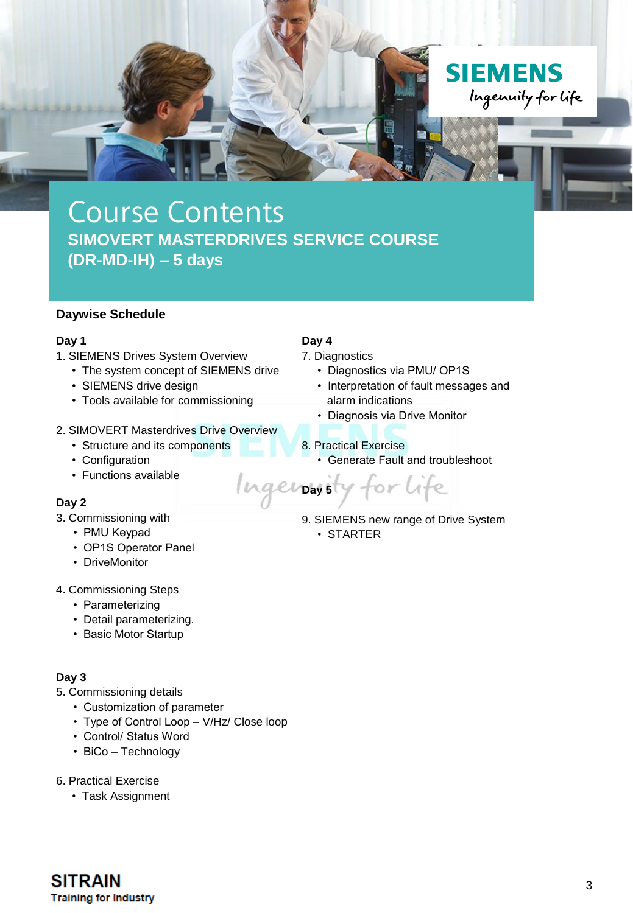

## **Daywise Schedule**

#### **Day 1**

- 1. SIEMENS Drives System Overview
	- The system concept of SIEMENS drive
	- SIEMENS drive design
	- Tools available for commissioning

#### 2. SIMOVERT Masterdrives Drive Overview

- Structure and its components
- Configuration
- Functions available

## **Day 2**

- 3. Commissioning with
	- PMU Keypad
	- OP1S Operator Panel
	- DriveMonitor
- 4. Commissioning Steps
	- Parameterizing
	- Detail parameterizing.
	- Basic Motor Startup

## **Day 3**

- 5. Commissioning details
	- Customization of parameter
	- Type of Control Loop V/Hz/ Close loop
	- Control/ Status Word
	- BiCo Technology
- 6. Practical Exercise
	- Task Assignment

## **Day 4**

7. Diagnostics

- Diagnostics via PMU/ OP1S
- Interpretation of fault messages and alarm indications
- Diagnosis via Drive Monitor
- 8. Practical Exercise
	- Generate Fault and troubleshoot
- for life **Day 5** 9. SIEMENS new range of Drive System
	- STARTER